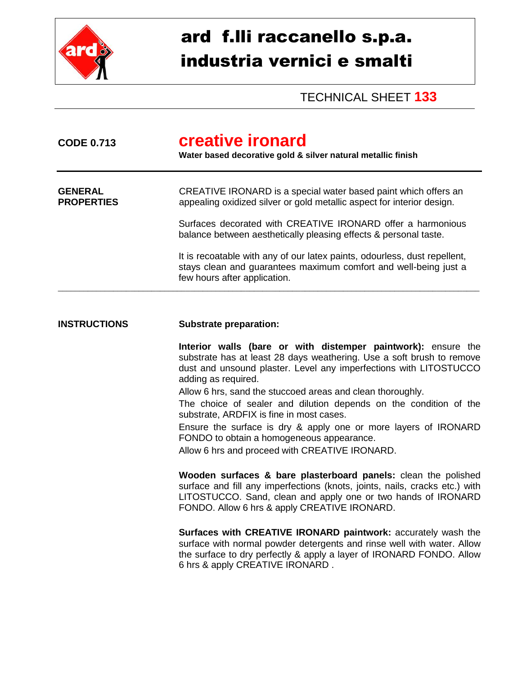

## ard f.lli raccanello s.p.a. industria vernici e smalti

TECHNICAL SHEET **133**

| creative ironard<br>Water based decorative gold & silver natural metallic finish                                                                                              |  |  |
|-------------------------------------------------------------------------------------------------------------------------------------------------------------------------------|--|--|
| CREATIVE IRONARD is a special water based paint which offers an<br>appealing oxidized silver or gold metallic aspect for interior design.                                     |  |  |
| Surfaces decorated with CREATIVE IRONARD offer a harmonious<br>balance between aesthetically pleasing effects & personal taste.                                               |  |  |
| It is recoatable with any of our latex paints, odourless, dust repellent,<br>stays clean and guarantees maximum comfort and well-being just a<br>few hours after application. |  |  |
|                                                                                                                                                                               |  |  |

## **INSTRUCTIONS Substrate preparation:**

**Interior walls (bare or with distemper paintwork):** ensure the substrate has at least 28 days weathering. Use a soft brush to remove dust and unsound plaster. Level any imperfections with LITOSTUCCO adding as required.

Allow 6 hrs, sand the stuccoed areas and clean thoroughly.

The choice of sealer and dilution depends on the condition of the substrate, ARDFIX is fine in most cases.

Ensure the surface is dry & apply one or more layers of IRONARD FONDO to obtain a homogeneous appearance.

Allow 6 hrs and proceed with CREATIVE IRONARD.

**Wooden surfaces & bare plasterboard panels:** clean the polished surface and fill any imperfections (knots, joints, nails, cracks etc.) with LITOSTUCCO. Sand, clean and apply one or two hands of IRONARD FONDO. Allow 6 hrs & apply CREATIVE IRONARD.

**Surfaces with CREATIVE IRONARD paintwork:** accurately wash the surface with normal powder detergents and rinse well with water. Allow the surface to dry perfectly & apply a layer of IRONARD FONDO. Allow 6 hrs & apply CREATIVE IRONARD .